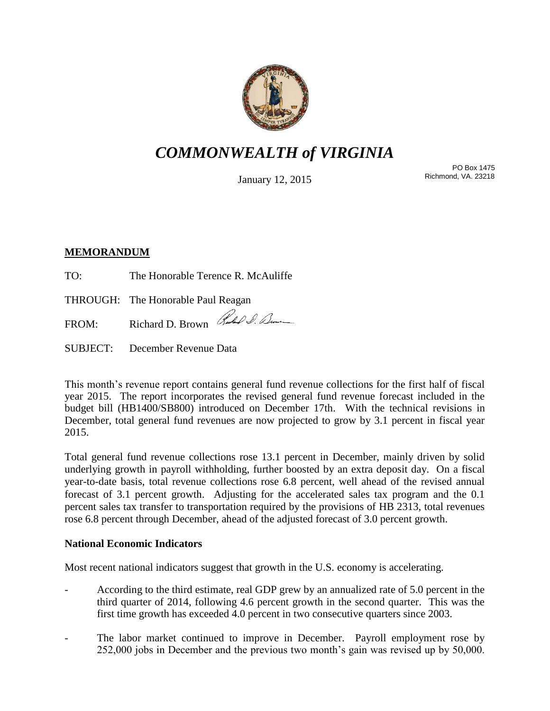

# *COMMONWEALTH of VIRGINIA*

January 12, 2015

PO Box 1475 Richmond, VA. 23218

## **MEMORANDUM**

TO: The Honorable Terence R. McAuliffe

THROUGH: The Honorable Paul Reagan

FROM: Richard D. Brown Rubble D. Lum

SUBJECT: December Revenue Data

This month's revenue report contains general fund revenue collections for the first half of fiscal year 2015. The report incorporates the revised general fund revenue forecast included in the budget bill (HB1400/SB800) introduced on December 17th. With the technical revisions in December, total general fund revenues are now projected to grow by 3.1 percent in fiscal year 2015.

Total general fund revenue collections rose 13.1 percent in December, mainly driven by solid underlying growth in payroll withholding, further boosted by an extra deposit day. On a fiscal year-to-date basis, total revenue collections rose 6.8 percent, well ahead of the revised annual forecast of 3.1 percent growth. Adjusting for the accelerated sales tax program and the 0.1 percent sales tax transfer to transportation required by the provisions of HB 2313, total revenues rose 6.8 percent through December, ahead of the adjusted forecast of 3.0 percent growth.

## **National Economic Indicators**

Most recent national indicators suggest that growth in the U.S. economy is accelerating.

- According to the third estimate, real GDP grew by an annualized rate of 5.0 percent in the third quarter of 2014, following 4.6 percent growth in the second quarter. This was the first time growth has exceeded 4.0 percent in two consecutive quarters since 2003.
- The labor market continued to improve in December. Payroll employment rose by 252,000 jobs in December and the previous two month's gain was revised up by 50,000.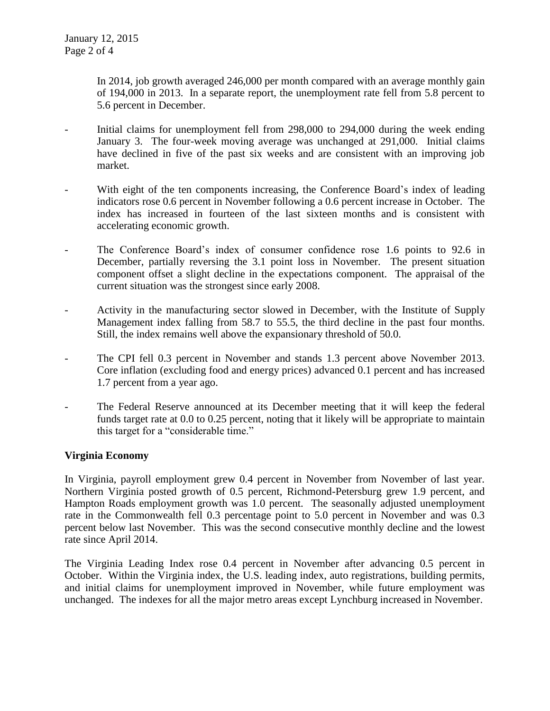In 2014, job growth averaged 246,000 per month compared with an average monthly gain of 194,000 in 2013. In a separate report, the unemployment rate fell from 5.8 percent to 5.6 percent in December.

- Initial claims for unemployment fell from 298,000 to 294,000 during the week ending January 3. The four-week moving average was unchanged at 291,000. Initial claims have declined in five of the past six weeks and are consistent with an improving job market.
- With eight of the ten components increasing, the Conference Board's index of leading indicators rose 0.6 percent in November following a 0.6 percent increase in October. The index has increased in fourteen of the last sixteen months and is consistent with accelerating economic growth.
- The Conference Board's index of consumer confidence rose 1.6 points to 92.6 in December, partially reversing the 3.1 point loss in November. The present situation component offset a slight decline in the expectations component. The appraisal of the current situation was the strongest since early 2008.
- Activity in the manufacturing sector slowed in December, with the Institute of Supply Management index falling from 58.7 to 55.5, the third decline in the past four months. Still, the index remains well above the expansionary threshold of 50.0.
- The CPI fell 0.3 percent in November and stands 1.3 percent above November 2013. Core inflation (excluding food and energy prices) advanced 0.1 percent and has increased 1.7 percent from a year ago.
- The Federal Reserve announced at its December meeting that it will keep the federal funds target rate at 0.0 to 0.25 percent, noting that it likely will be appropriate to maintain this target for a "considerable time."

#### **Virginia Economy**

In Virginia, payroll employment grew 0.4 percent in November from November of last year. Northern Virginia posted growth of 0.5 percent, Richmond-Petersburg grew 1.9 percent, and Hampton Roads employment growth was 1.0 percent. The seasonally adjusted unemployment rate in the Commonwealth fell 0.3 percentage point to 5.0 percent in November and was 0.3 percent below last November. This was the second consecutive monthly decline and the lowest rate since April 2014.

The Virginia Leading Index rose 0.4 percent in November after advancing 0.5 percent in October. Within the Virginia index, the U.S. leading index, auto registrations, building permits, and initial claims for unemployment improved in November, while future employment was unchanged. The indexes for all the major metro areas except Lynchburg increased in November.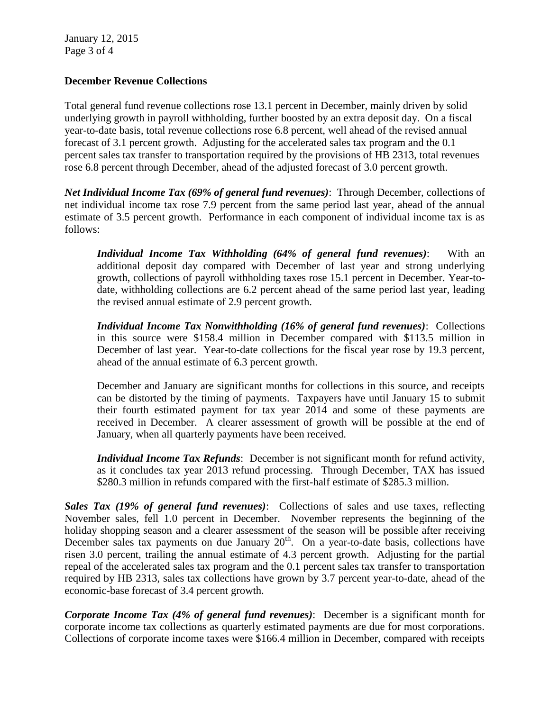January 12, 2015 Page 3 of 4

### **December Revenue Collections**

Total general fund revenue collections rose 13.1 percent in December, mainly driven by solid underlying growth in payroll withholding, further boosted by an extra deposit day. On a fiscal year-to-date basis, total revenue collections rose 6.8 percent, well ahead of the revised annual forecast of 3.1 percent growth. Adjusting for the accelerated sales tax program and the 0.1 percent sales tax transfer to transportation required by the provisions of HB 2313, total revenues rose 6.8 percent through December, ahead of the adjusted forecast of 3.0 percent growth.

*Net Individual Income Tax (69% of general fund revenues)*: Through December, collections of net individual income tax rose 7.9 percent from the same period last year, ahead of the annual estimate of 3.5 percent growth. Performance in each component of individual income tax is as follows:

*Individual Income Tax Withholding (64% of general fund revenues): With an* additional deposit day compared with December of last year and strong underlying growth, collections of payroll withholding taxes rose 15.1 percent in December. Year-todate, withholding collections are 6.2 percent ahead of the same period last year, leading the revised annual estimate of 2.9 percent growth.

*Individual Income Tax Nonwithholding (16% of general fund revenues)*: Collections in this source were \$158.4 million in December compared with \$113.5 million in December of last year. Year-to-date collections for the fiscal year rose by 19.3 percent, ahead of the annual estimate of 6.3 percent growth.

December and January are significant months for collections in this source, and receipts can be distorted by the timing of payments. Taxpayers have until January 15 to submit their fourth estimated payment for tax year 2014 and some of these payments are received in December. A clearer assessment of growth will be possible at the end of January, when all quarterly payments have been received.

*Individual Income Tax Refunds*: December is not significant month for refund activity, as it concludes tax year 2013 refund processing. Through December, TAX has issued \$280.3 million in refunds compared with the first-half estimate of \$285.3 million.

*Sales Tax (19% of general fund revenues)*: Collections of sales and use taxes, reflecting November sales, fell 1.0 percent in December. November represents the beginning of the holiday shopping season and a clearer assessment of the season will be possible after receiving December sales tax payments on due January  $20<sup>th</sup>$ . On a year-to-date basis, collections have risen 3.0 percent, trailing the annual estimate of 4.3 percent growth. Adjusting for the partial repeal of the accelerated sales tax program and the 0.1 percent sales tax transfer to transportation required by HB 2313, sales tax collections have grown by 3.7 percent year-to-date, ahead of the economic-base forecast of 3.4 percent growth.

*Corporate Income Tax (4% of general fund revenues)*: December is a significant month for corporate income tax collections as quarterly estimated payments are due for most corporations. Collections of corporate income taxes were \$166.4 million in December, compared with receipts